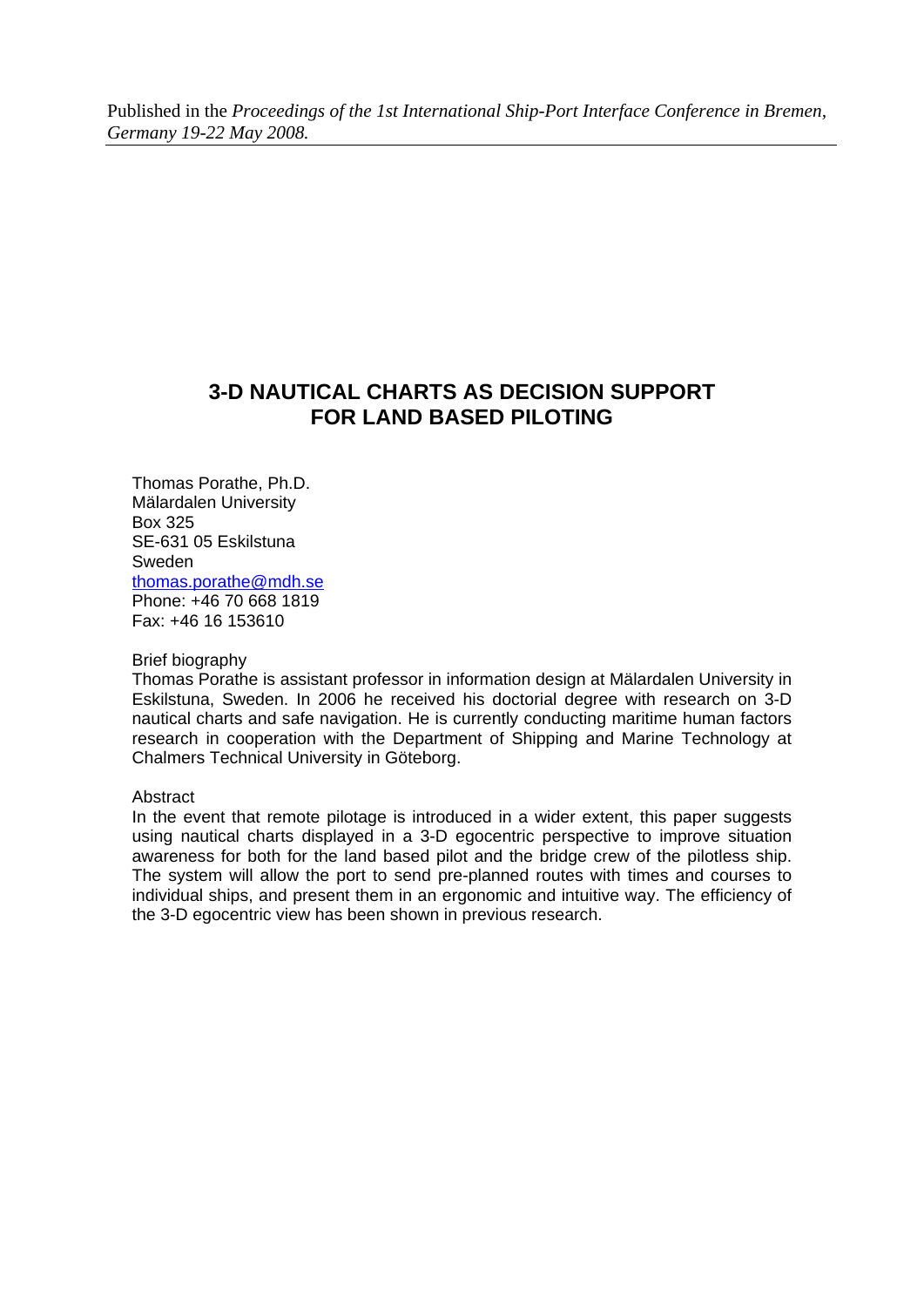# **3-D NAUTICAL CHARTS AS DECISION SUPPORT FOR LAND BASED PILOTING**

Thomas Porathe, Ph.D. Mälardalen University Box 325 SE-631 05 Eskilstuna Sweden [thomas.porathe@mdh.se](mailto:thomas.porathe@mdh.se) Phone: +46 70 668 1819 Fax: +46 16 153610

## Brief biography

Thomas Porathe is assistant professor in information design at Mälardalen University in Eskilstuna, Sweden. In 2006 he received his doctorial degree with research on 3-D nautical charts and safe navigation. He is currently conducting maritime human factors research in cooperation with the Department of Shipping and Marine Technology at Chalmers Technical University in Göteborg.

## **Abstract**

In the event that remote pilotage is introduced in a wider extent, this paper suggests using nautical charts displayed in a 3-D egocentric perspective to improve situation awareness for both for the land based pilot and the bridge crew of the pilotless ship. The system will allow the port to send pre-planned routes with times and courses to individual ships, and present them in an ergonomic and intuitive way. The efficiency of the 3-D egocentric view has been shown in previous research.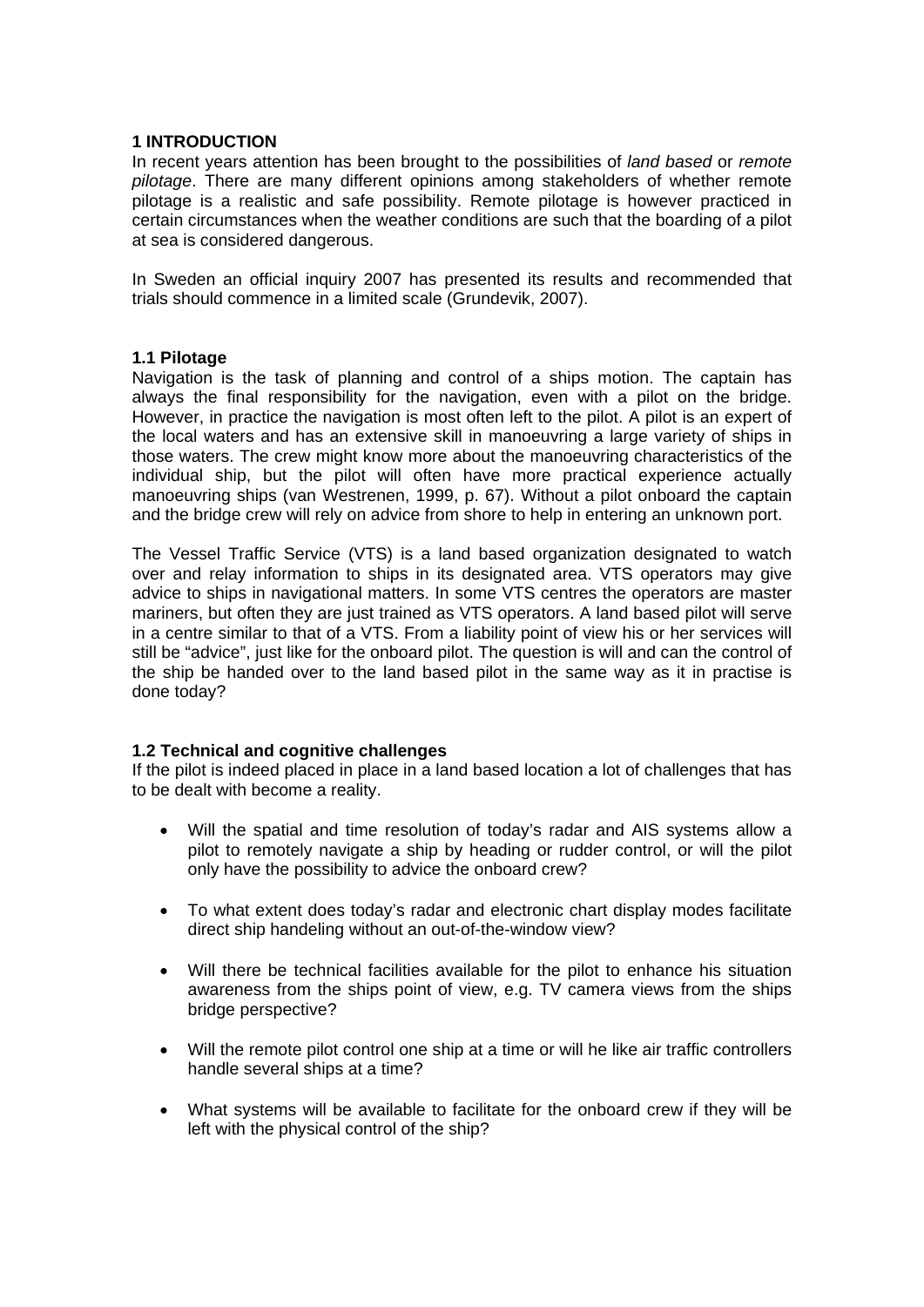## **1 INTRODUCTION**

In recent years attention has been brought to the possibilities of *land based* or *remote pilotage*. There are many different opinions among stakeholders of whether remote pilotage is a realistic and safe possibility. Remote pilotage is however practiced in certain circumstances when the weather conditions are such that the boarding of a pilot at sea is considered dangerous.

In Sweden an official inquiry 2007 has presented its results and recommended that trials should commence in a limited scale (Grundevik, 2007).

## **1.1 Pilotage**

Navigation is the task of planning and control of a ships motion. The captain has always the final responsibility for the navigation, even with a pilot on the bridge. However, in practice the navigation is most often left to the pilot. A pilot is an expert of the local waters and has an extensive skill in manoeuvring a large variety of ships in those waters. The crew might know more about the manoeuvring characteristics of the individual ship, but the pilot will often have more practical experience actually manoeuvring ships (van Westrenen, 1999, p. 67). Without a pilot onboard the captain and the bridge crew will rely on advice from shore to help in entering an unknown port.

The Vessel Traffic Service (VTS) is a land based organization designated to watch over and relay information to ships in its designated area. VTS operators may give advice to ships in navigational matters. In some VTS centres the operators are master mariners, but often they are just trained as VTS operators. A land based pilot will serve in a centre similar to that of a VTS. From a liability point of view his or her services will still be "advice", just like for the onboard pilot. The question is will and can the control of the ship be handed over to the land based pilot in the same way as it in practise is done today?

# **1.2 Technical and cognitive challenges**

If the pilot is indeed placed in place in a land based location a lot of challenges that has to be dealt with become a reality.

- Will the spatial and time resolution of today's radar and AIS systems allow a pilot to remotely navigate a ship by heading or rudder control, or will the pilot only have the possibility to advice the onboard crew?
- To what extent does today's radar and electronic chart display modes facilitate direct ship handeling without an out-of-the-window view?
- Will there be technical facilities available for the pilot to enhance his situation awareness from the ships point of view, e.g. TV camera views from the ships bridge perspective?
- Will the remote pilot control one ship at a time or will he like air traffic controllers handle several ships at a time?
- What systems will be available to facilitate for the onboard crew if they will be left with the physical control of the ship?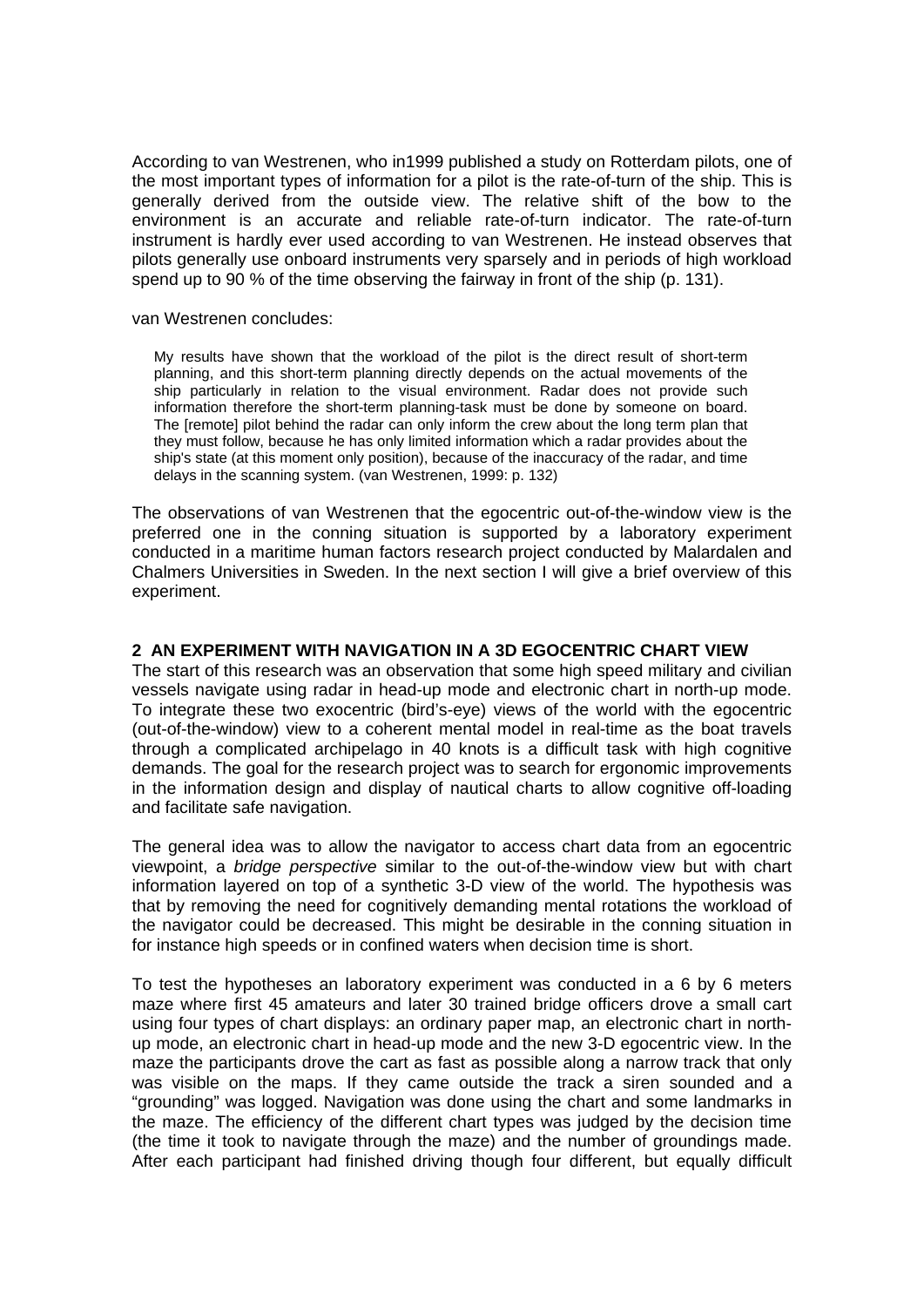According to van Westrenen, who in1999 published a study on Rotterdam pilots, one of the most important types of information for a pilot is the rate-of-turn of the ship. This is generally derived from the outside view. The relative shift of the bow to the environment is an accurate and reliable rate-of-turn indicator. The rate-of-turn instrument is hardly ever used according to van Westrenen. He instead observes that pilots generally use onboard instruments very sparsely and in periods of high workload spend up to 90 % of the time observing the fairway in front of the ship (p. 131).

#### van Westrenen concludes:

My results have shown that the workload of the pilot is the direct result of short-term planning, and this short-term planning directly depends on the actual movements of the ship particularly in relation to the visual environment. Radar does not provide such information therefore the short-term planning-task must be done by someone on board. The [remote] pilot behind the radar can only inform the crew about the long term plan that they must follow, because he has only limited information which a radar provides about the ship's state (at this moment only position), because of the inaccuracy of the radar, and time delays in the scanning system. (van Westrenen, 1999: p. 132)

The observations of van Westrenen that the egocentric out-of-the-window view is the preferred one in the conning situation is supported by a laboratory experiment conducted in a maritime human factors research project conducted by Malardalen and Chalmers Universities in Sweden. In the next section I will give a brief overview of this experiment.

## **2 AN EXPERIMENT WITH NAVIGATION IN A 3D EGOCENTRIC CHART VIEW**

The start of this research was an observation that some high speed military and civilian vessels navigate using radar in head-up mode and electronic chart in north-up mode. To integrate these two exocentric (bird's-eye) views of the world with the egocentric (out-of-the-window) view to a coherent mental model in real-time as the boat travels through a complicated archipelago in 40 knots is a difficult task with high cognitive demands. The goal for the research project was to search for ergonomic improvements in the information design and display of nautical charts to allow cognitive off-loading and facilitate safe navigation.

The general idea was to allow the navigator to access chart data from an egocentric viewpoint, a *bridge perspective* similar to the out-of-the-window view but with chart information layered on top of a synthetic 3-D view of the world. The hypothesis was that by removing the need for cognitively demanding mental rotations the workload of the navigator could be decreased. This might be desirable in the conning situation in for instance high speeds or in confined waters when decision time is short.

To test the hypotheses an laboratory experiment was conducted in a 6 by 6 meters maze where first 45 amateurs and later 30 trained bridge officers drove a small cart using four types of chart displays: an ordinary paper map, an electronic chart in northup mode, an electronic chart in head-up mode and the new 3-D egocentric view. In the maze the participants drove the cart as fast as possible along a narrow track that only was visible on the maps. If they came outside the track a siren sounded and a "grounding" was logged. Navigation was done using the chart and some landmarks in the maze. The efficiency of the different chart types was judged by the decision time (the time it took to navigate through the maze) and the number of groundings made. After each participant had finished driving though four different, but equally difficult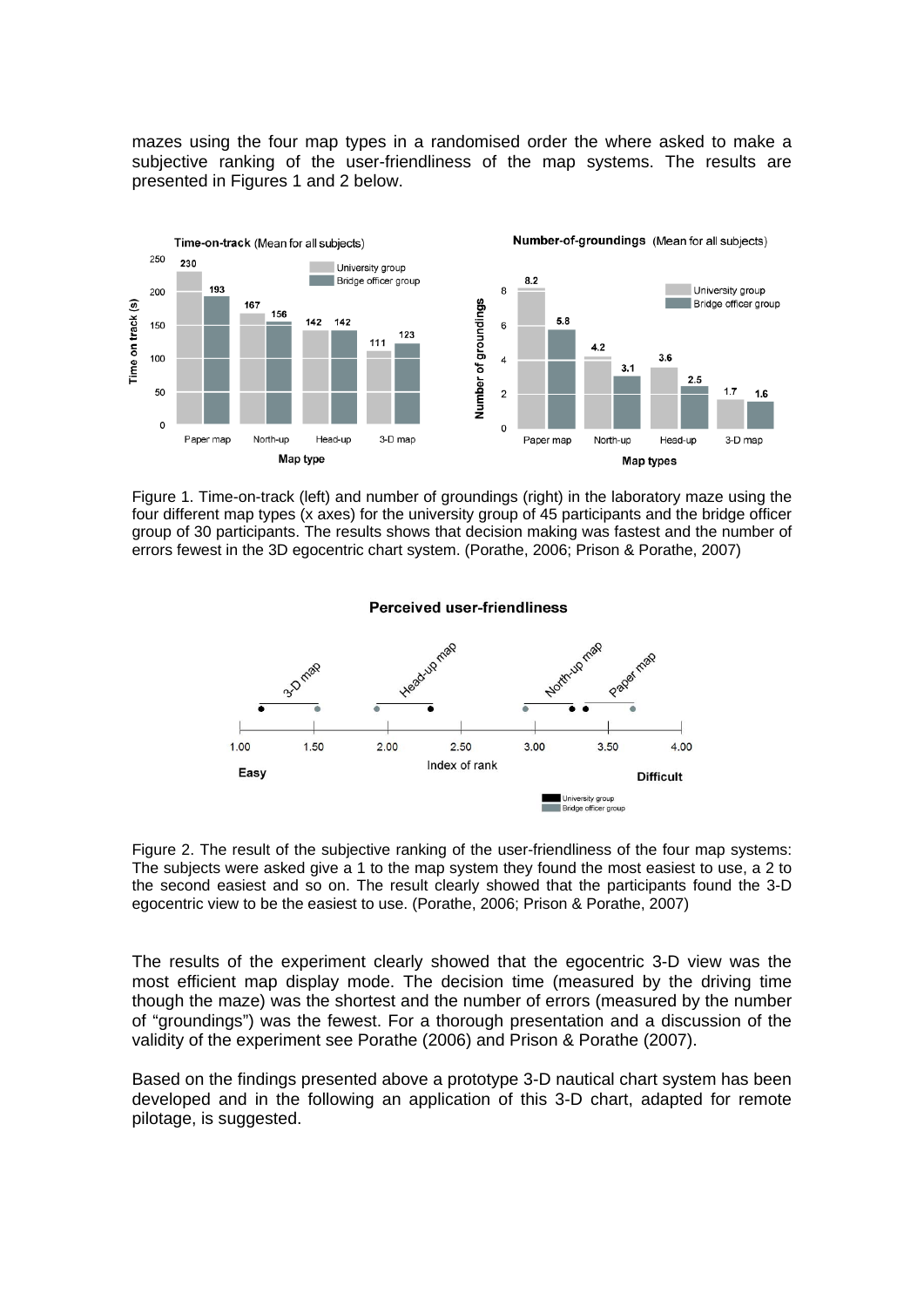mazes using the four map types in a randomised order the where asked to make a subjective ranking of the user-friendliness of the map systems. The results are presented in Figures 1 and 2 below.



Figure 1. Time-on-track (left) and number of groundings (right) in the laboratory maze using the four different map types (x axes) for the university group of 45 participants and the bridge officer group of 30 participants. The results shows that decision making was fastest and the number of errors fewest in the 3D egocentric chart system. (Porathe, 2006; Prison & Porathe, 2007)



Figure 2. The result of the subjective ranking of the user-friendliness of the four map systems: The subjects were asked give a 1 to the map system they found the most easiest to use, a 2 to the second easiest and so on. The result clearly showed that the participants found the 3-D egocentric view to be the easiest to use. (Porathe, 2006; Prison & Porathe, 2007)

The results of the experiment clearly showed that the egocentric 3-D view was the most efficient map display mode. The decision time (measured by the driving time though the maze) was the shortest and the number of errors (measured by the number of "groundings") was the fewest. For a thorough presentation and a discussion of the validity of the experiment see Porathe (2006) and Prison & Porathe (2007).

Based on the findings presented above a prototype 3-D nautical chart system has been developed and in the following an application of this 3-D chart, adapted for remote pilotage, is suggested.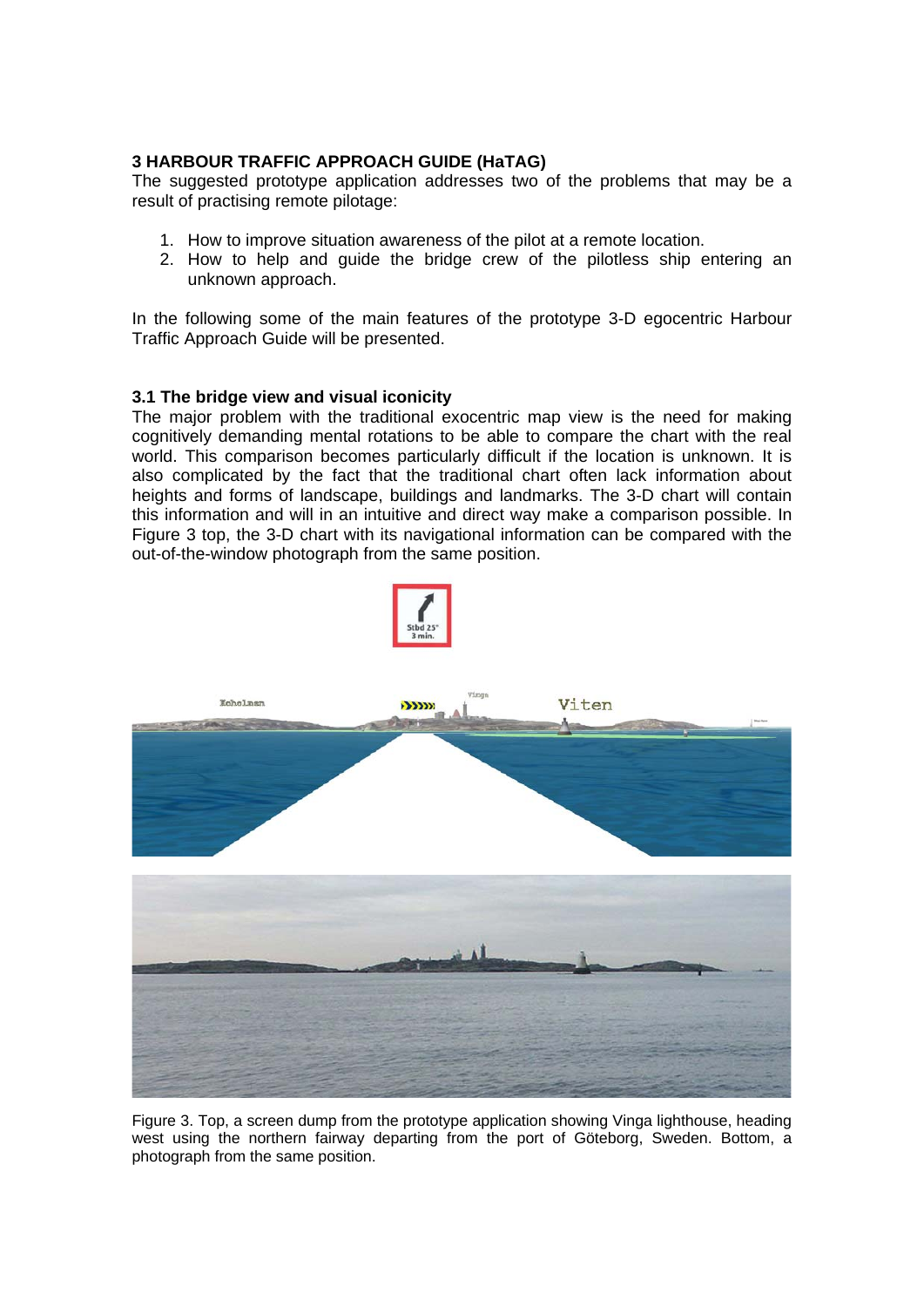# **3 HARBOUR TRAFFIC APPROACH GUIDE (HaTAG)**

The suggested prototype application addresses two of the problems that may be a result of practising remote pilotage:

- 1. How to improve situation awareness of the pilot at a remote location.
- 2. How to help and guide the bridge crew of the pilotless ship entering an unknown approach.

In the following some of the main features of the prototype 3-D egocentric Harbour Traffic Approach Guide will be presented.

# **3.1 The bridge view and visual iconicity**

The major problem with the traditional exocentric map view is the need for making cognitively demanding mental rotations to be able to compare the chart with the real world. This comparison becomes particularly difficult if the location is unknown. It is also complicated by the fact that the traditional chart often lack information about heights and forms of landscape, buildings and landmarks. The 3-D chart will contain this information and will in an intuitive and direct way make a comparison possible. In Figure 3 top, the 3-D chart with its navigational information can be compared with the out-of-the-window photograph from the same position.



Figure 3. Top, a screen dump from the prototype application showing Vinga lighthouse, heading west using the northern fairway departing from the port of Göteborg, Sweden. Bottom, a photograph from the same position.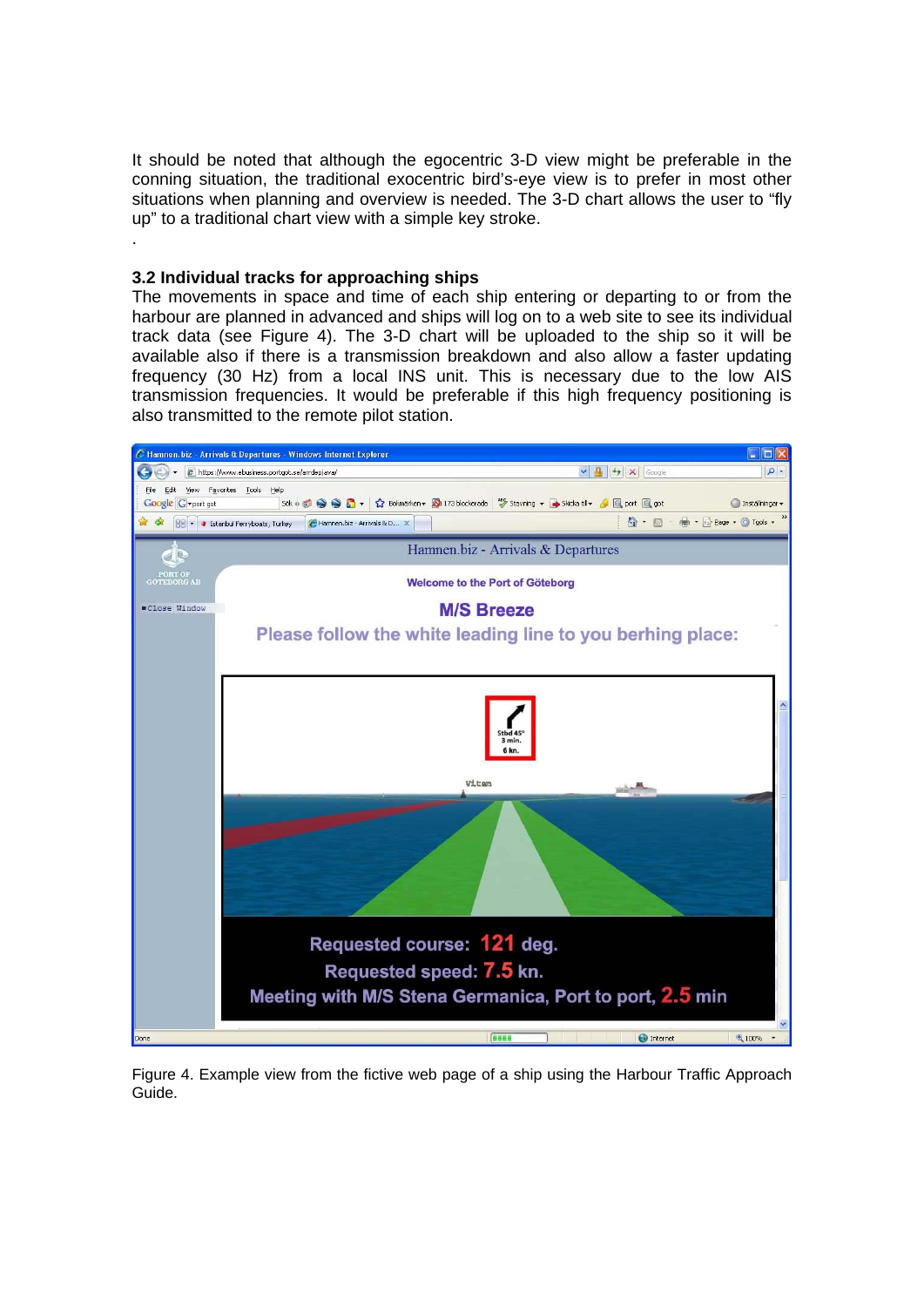It should be noted that although the egocentric 3-D view might be preferable in the conning situation, the traditional exocentric bird's-eye view is to prefer in most other situations when planning and overview is needed. The 3-D chart allows the user to "fly up" to a traditional chart view with a simple key stroke.

## **3.2 Individual tracks for approaching ships**

.

The movements in space and time of each ship entering or departing to or from the harbour are planned in advanced and ships will log on to a web site to see its individual track data (see Figure 4). The 3-D chart will be uploaded to the ship so it will be available also if there is a transmission breakdown and also allow a faster updating frequency (30 Hz) from a local INS unit. This is necessary due to the low AIS transmission frequencies. It would be preferable if this high frequency positioning is also transmitted to the remote pilot station.



Figure 4. Example view from the fictive web page of a ship using the Harbour Traffic Approach Guide.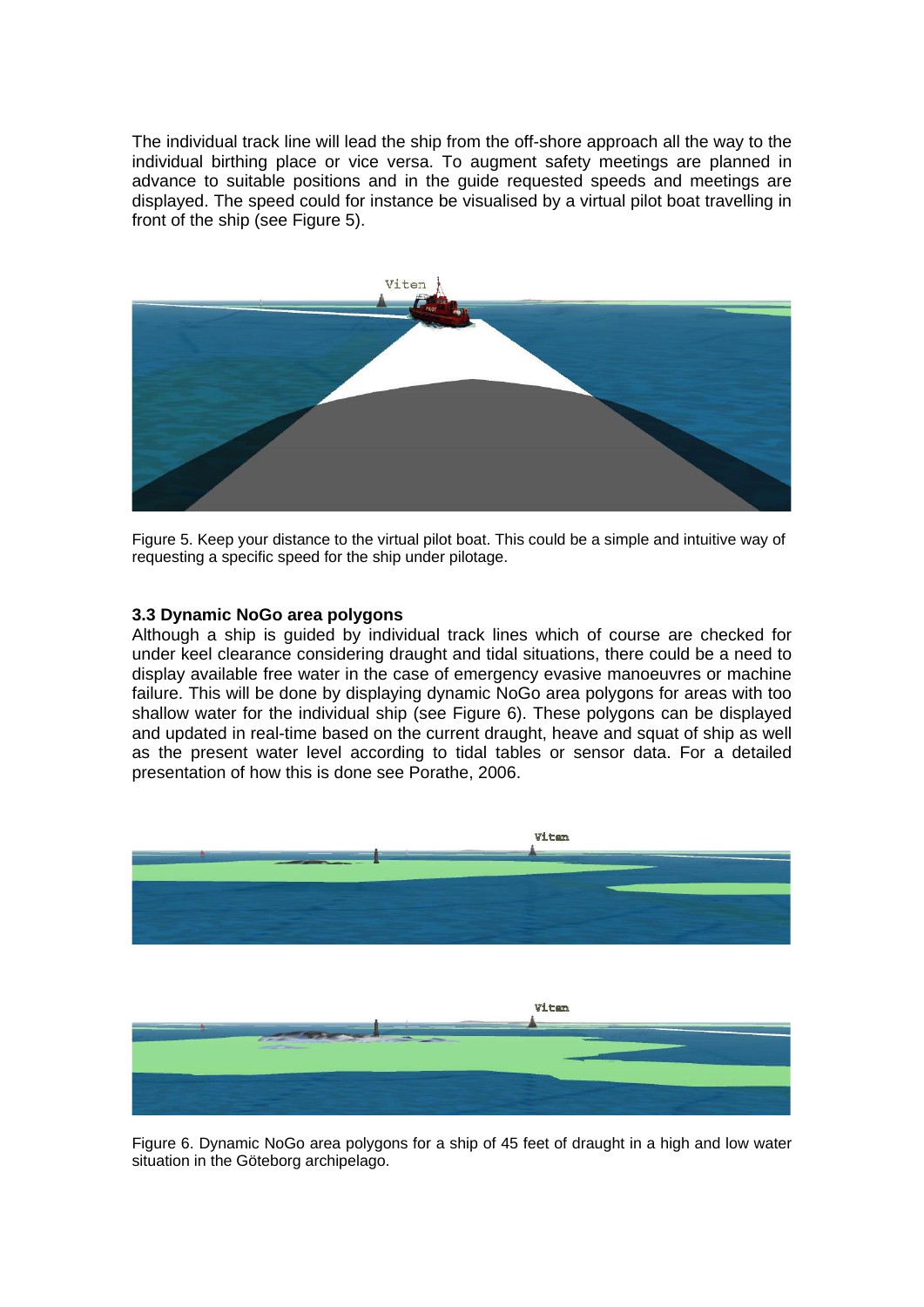The individual track line will lead the ship from the off-shore approach all the way to the individual birthing place or vice versa. To augment safety meetings are planned in advance to suitable positions and in the guide requested speeds and meetings are displayed. The speed could for instance be visualised by a virtual pilot boat travelling in front of the ship (see Figure 5).



Figure 5. Keep your distance to the virtual pilot boat. This could be a simple and intuitive way of requesting a specific speed for the ship under pilotage.

# **3.3 Dynamic NoGo area polygons**

Although a ship is guided by individual track lines which of course are checked for under keel clearance considering draught and tidal situations, there could be a need to display available free water in the case of emergency evasive manoeuvres or machine failure. This will be done by displaying dynamic NoGo area polygons for areas with too shallow water for the individual ship (see Figure 6). These polygons can be displayed and updated in real-time based on the current draught, heave and squat of ship as well as the present water level according to tidal tables or sensor data. For a detailed presentation of how this is done see Porathe, 2006.



Figure 6. Dynamic NoGo area polygons for a ship of 45 feet of draught in a high and low water situation in the Göteborg archipelago.